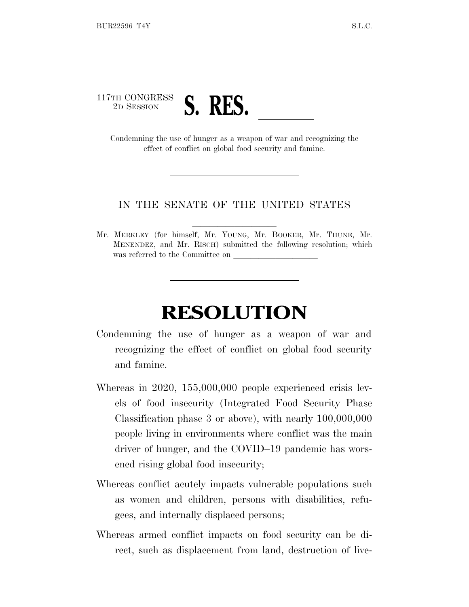

effect of conflict on global food security and famine.

## IN THE SENATE OF THE UNITED STATES

Mr. MERKLEY (for himself, Mr. YOUNG, Mr. BOOKER, Mr. THUNE, Mr. MENENDEZ, and Mr. RISCH) submitted the following resolution; which was referred to the Committee on

## **RESOLUTION**

- Condemning the use of hunger as a weapon of war and recognizing the effect of conflict on global food security and famine.
- Whereas in 2020, 155,000,000 people experienced crisis levels of food insecurity (Integrated Food Security Phase Classification phase 3 or above), with nearly 100,000,000 people living in environments where conflict was the main driver of hunger, and the COVID–19 pandemic has worsened rising global food insecurity;
- Whereas conflict acutely impacts vulnerable populations such as women and children, persons with disabilities, refugees, and internally displaced persons;
- Whereas armed conflict impacts on food security can be direct, such as displacement from land, destruction of live-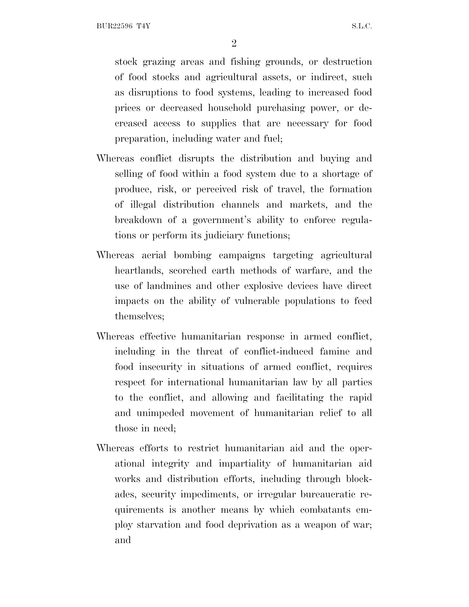2

stock grazing areas and fishing grounds, or destruction of food stocks and agricultural assets, or indirect, such as disruptions to food systems, leading to increased food prices or decreased household purchasing power, or decreased access to supplies that are necessary for food preparation, including water and fuel;

- Whereas conflict disrupts the distribution and buying and selling of food within a food system due to a shortage of produce, risk, or perceived risk of travel, the formation of illegal distribution channels and markets, and the breakdown of a government's ability to enforce regulations or perform its judiciary functions;
- Whereas aerial bombing campaigns targeting agricultural heartlands, scorched earth methods of warfare, and the use of landmines and other explosive devices have direct impacts on the ability of vulnerable populations to feed themselves;
- Whereas effective humanitarian response in armed conflict, including in the threat of conflict-induced famine and food insecurity in situations of armed conflict, requires respect for international humanitarian law by all parties to the conflict, and allowing and facilitating the rapid and unimpeded movement of humanitarian relief to all those in need;
- Whereas efforts to restrict humanitarian aid and the operational integrity and impartiality of humanitarian aid works and distribution efforts, including through blockades, security impediments, or irregular bureaucratic requirements is another means by which combatants employ starvation and food deprivation as a weapon of war; and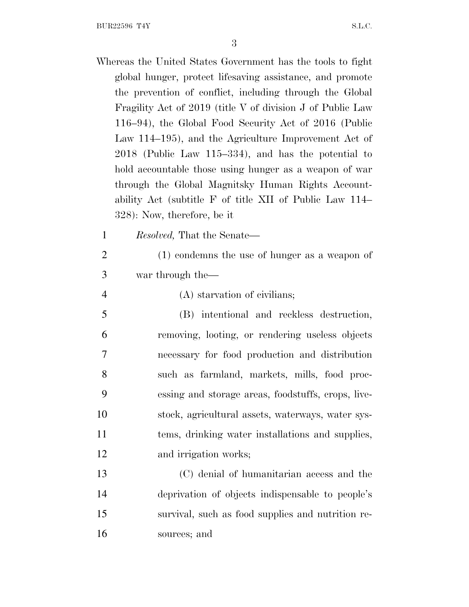BUR22596 T4Y S.L.C.

3

- Whereas the United States Government has the tools to fight global hunger, protect lifesaving assistance, and promote the prevention of conflict, including through the Global Fragility Act of 2019 (title V of division J of Public Law 116–94), the Global Food Security Act of 2016 (Public Law 114–195), and the Agriculture Improvement Act of 2018 (Public Law 115–334), and has the potential to hold accountable those using hunger as a weapon of war through the Global Magnitsky Human Rights Accountability Act (subtitle F of title XII of Public Law 114– 328): Now, therefore, be it 1 *Resolved,* That the Senate—
- 2 (1) condemns the use of hunger as a weapon of 3 war through the—
- 4 (A) starvation of civilians;
- 5 (B) intentional and reckless destruction, 6 removing, looting, or rendering useless objects 7 necessary for food production and distribution 8 such as farmland, markets, mills, food proc-9 essing and storage areas, foodstuffs, crops, live-10 stock, agricultural assets, waterways, water sys-11 tems, drinking water installations and supplies, 12 and irrigation works;
- 13 (C) denial of humanitarian access and the 14 deprivation of objects indispensable to people's 15 survival, such as food supplies and nutrition re-16 sources; and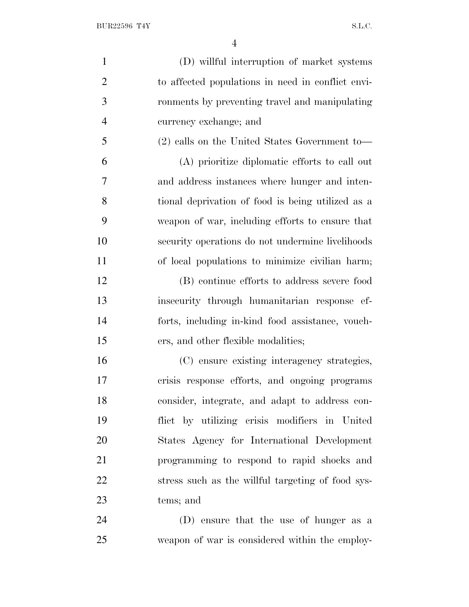| $\mathbf{1}$   | (D) willful interruption of market systems        |
|----------------|---------------------------------------------------|
| $\overline{2}$ | to affected populations in need in conflict envi- |
| 3              | ronments by preventing travel and manipulating    |
| $\overline{4}$ | currency exchange; and                            |
| 5              | $(2)$ calls on the United States Government to-   |
| 6              | (A) prioritize diplomatic efforts to call out     |
| 7              | and address instances where hunger and inten-     |
| 8              | tional deprivation of food is being utilized as a |
| 9              | weapon of war, including efforts to ensure that   |
| 10             | security operations do not undermine livelihoods  |
| 11             | of local populations to minimize civilian harm;   |
| 12             | (B) continue efforts to address severe food       |
| 13             | insecurity through humanitarian response ef-      |
| 14             | forts, including in-kind food assistance, vouch-  |
| 15             | ers, and other flexible modalities;               |
| 16             | (C) ensure existing interagency strategies,       |
| 17             | crisis response efforts, and ongoing programs     |
| 18             | consider, integrate, and adapt to address con-    |
| 19             | flict by utilizing crisis modifiers in United     |
| 20             | States Agency for International Development       |
| 21             | programming to respond to rapid shocks and        |
| 22             | stress such as the willful targeting of food sys- |
| 23             | tems; and                                         |
| 24             | (D) ensure that the use of hunger as a            |
| 25             | weapon of war is considered within the employ-    |